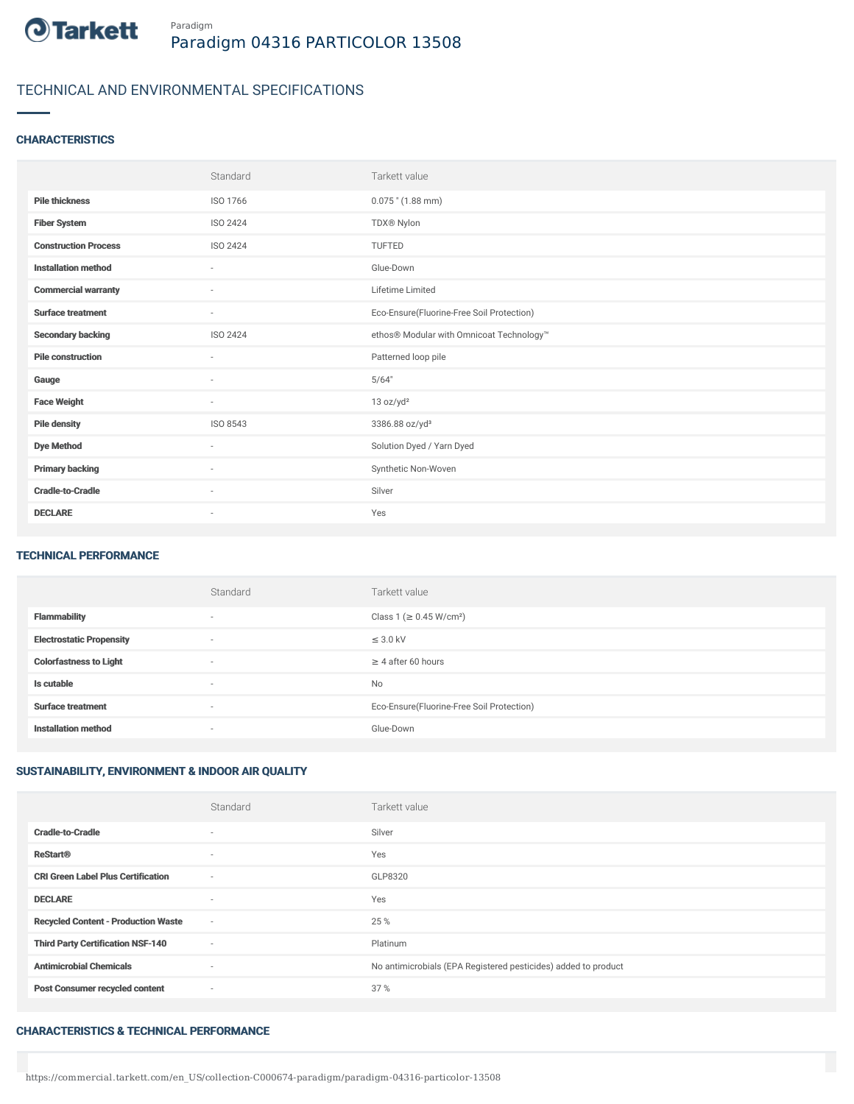

# TECHNICAL AND ENVIRONMENTAL SPECIFICATIONS

## **CHARACTERISTICS**

|                             | Standard                 | Tarkett value                             |
|-----------------------------|--------------------------|-------------------------------------------|
| <b>Pile thickness</b>       | ISO 1766                 | $0.075$ " (1.88 mm)                       |
| <b>Fiber System</b>         | ISO 2424                 | TDX® Nylon                                |
| <b>Construction Process</b> | <b>ISO 2424</b>          | <b>TUFTED</b>                             |
| <b>Installation method</b>  | $\sim$                   | Glue-Down                                 |
| <b>Commercial warranty</b>  | $\overline{\phantom{a}}$ | Lifetime Limited                          |
| <b>Surface treatment</b>    | $\sim$                   | Eco-Ensure(Fluorine-Free Soil Protection) |
| <b>Secondary backing</b>    | ISO 2424                 | ethos® Modular with Omnicoat Technology™  |
| <b>Pile construction</b>    | $\sim$                   | Patterned loop pile                       |
| Gauge                       | $\sim$                   | 5/64"                                     |
| <b>Face Weight</b>          | $\sim$                   | 13 oz/yd <sup>2</sup>                     |
| <b>Pile density</b>         | ISO 8543                 | 3386.88 oz/yd <sup>3</sup>                |
| <b>Dye Method</b>           | $\sim$                   | Solution Dyed / Yarn Dyed                 |
| <b>Primary backing</b>      | $\sim$                   | Synthetic Non-Woven                       |
| <b>Cradle-to-Cradle</b>     | $\overline{\phantom{a}}$ | Silver                                    |
| <b>DECLARE</b>              | $\overline{\phantom{a}}$ | Yes                                       |

#### TECHNICAL PERFORMANCE

|                                 | Standard                 | Tarkett value                             |
|---------------------------------|--------------------------|-------------------------------------------|
| <b>Flammability</b>             | $\overline{\phantom{a}}$ | Class 1 (≥ 0.45 W/cm <sup>2</sup> )       |
| <b>Electrostatic Propensity</b> | $\overline{\phantom{a}}$ | $\leq$ 3.0 kV                             |
| <b>Colorfastness to Light</b>   | $\overline{\phantom{a}}$ | $\geq$ 4 after 60 hours                   |
| Is cutable                      | $\overline{\phantom{a}}$ | <b>No</b>                                 |
| <b>Surface treatment</b>        | $\overline{\phantom{a}}$ | Eco-Ensure(Fluorine-Free Soil Protection) |
| <b>Installation method</b>      | $\overline{\phantom{a}}$ | Glue-Down                                 |

# SUSTAINABILITY, ENVIRONMENT & INDOOR AIR QUALITY

|                                            | Standard                 | Tarkett value                                                  |
|--------------------------------------------|--------------------------|----------------------------------------------------------------|
| <b>Cradle-to-Cradle</b>                    | $\overline{\phantom{a}}$ | Silver                                                         |
| <b>ReStart®</b>                            | $\overline{\phantom{a}}$ | Yes                                                            |
| <b>CRI Green Label Plus Certification</b>  | $\sim$                   | GLP8320                                                        |
| <b>DECLARE</b>                             | $\overline{\phantom{a}}$ | Yes                                                            |
| <b>Recycled Content - Production Waste</b> | $\sim$                   | 25 %                                                           |
| <b>Third Party Certification NSF-140</b>   | $\sim$                   | Platinum                                                       |
| <b>Antimicrobial Chemicals</b>             | $\overline{\phantom{a}}$ | No antimicrobials (EPA Registered pesticides) added to product |
| <b>Post Consumer recycled content</b>      | $\sim$                   | 37%                                                            |

### CHARACTERISTICS & TECHNICAL PERFORMANCE